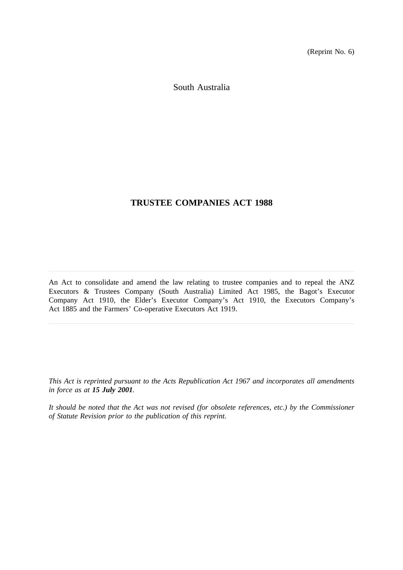(Reprint No. 6)

South Australia

# **TRUSTEE COMPANIES ACT 1988**

An Act to consolidate and amend the law relating to trustee companies and to repeal the ANZ Executors & Trustees Company (South Australia) Limited Act 1985, the Bagot's Executor Company Act 1910, the Elder's Executor Company's Act 1910, the Executors Company's Act 1885 and the Farmers' Co-operative Executors Act 1919.

*This Act is reprinted pursuant to the Acts Republication Act 1967 and incorporates all amendments in force as at 15 July 2001.*

*It should be noted that the Act was not revised (for obsolete references, etc.) by the Commissioner of Statute Revision prior to the publication of this reprint.*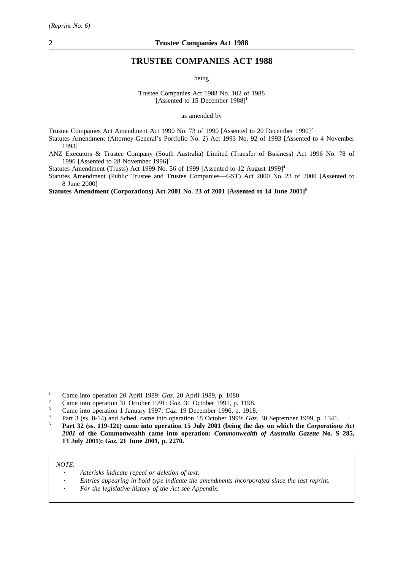# **TRUSTEE COMPANIES ACT 1988**

being

Trustee Companies Act 1988 No. 102 of 1988 [Assented to 15 December 1988]<sup>1</sup>

as amended by

Trustee Companies Act Amendment Act 1990 No. 73 of 1990 [Assented to 20 December 1990]<sup>2</sup>

Statutes Amendment (Attorney-General's Portfolio No. 2) Act 1993 No. 92 of 1993 [Assented to 4 November 1993]

ANZ Executors & Trustee Company (South Australia) Limited (Transfer of Business) Act 1996 No. 78 of 1996 [Assented to 28 November  $1996$ ]<sup>3</sup>

Statutes Amendment (Trusts) Act 1999 No. 56 of 1999 [Assented to 12 August 1999]<sup>4</sup>

Statutes Amendment (Public Trustee and Trustee Companies—GST) Act 2000 No. 23 of 2000 [Assented to 8 June 2000]

**Statutes Amendment (Corporations) Act 2001 No. 23 of 2001 [Assented to 14 June 2001]5**

- <sup>2</sup> Came into operation 31 October 1991: *Gaz*. 31 October 1991, p. 1198.
- <sup>3</sup> Came into operation 1 January 1997: *Gaz*. 19 December 1996, p. 1918.
- <sup>4</sup> Part 3 (ss. 8-14) and Sched. came into operation 18 October 1999: *Gaz*. 30 September 1999, p. 1341.

**<sup>5</sup> Part 32 (ss. 119-121) came into operation 15 July 2001 (being the day on which the** *Corporations Act 2001* **of the Commonwealth came into operation:** *Commonwealth of Australia Gazette* **No. S 285, 13 July 2001):** *Gaz***. 21 June 2001, p. 2270.**

*NOTE:*

- *Asterisks indicate repeal or deletion of text.*
- *Entries appearing in bold type indicate the amendments incorporated since the last reprint.*
- *For the legislative history of the Act see Appendix.*

<sup>1</sup> Came into operation 20 April 1989: *Gaz*. 20 April 1989, p. 1080.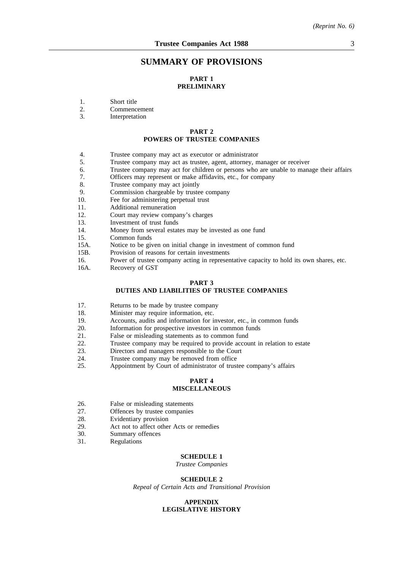# **SUMMARY OF PROVISIONS**

# **PART 1 PRELIMINARY**

- 1. Short title<br>2. Commenc
- 2. Commencement<br>3 Interpretation
- **Interpretation**

# **PART 2 POWERS OF TRUSTEE COMPANIES**

- 4. Trustee company may act as executor or administrator
- 5. Trustee company may act as trustee, agent, attorney, manager or receiver
- 6. Trustee company may act for children or persons who are unable to manage their affairs 7. Officers may represent or make affidavits, etc., for company
- 7. Officers may represent or make affidavits, etc., for company 8. Trustee company may act jointly
- 8. Trustee company may act jointly<br>9. Commission chargeable by truste
- Commission chargeable by trustee company
- 10. Fee for administering perpetual trust
- 11. Additional remuneration
- 12. Court may review company's charges
- 13. Investment of trust funds
- 14. Money from several estates may be invested as one fund
- 15. Common funds
- 15A. Notice to be given on initial change in investment of common fund
- 15B. Provision of reasons for certain investments
- 16. Power of trustee company acting in representative capacity to hold its own shares, etc.
- 16A. Recovery of GST

#### **PART 3 DUTIES AND LIABILITIES OF TRUSTEE COMPANIES**

- 17. Returns to be made by trustee company
- 18. Minister may require information, etc.
- 19. Accounts, audits and information for investor, etc., in common funds
- 20. Information for prospective investors in common funds
- 21. False or misleading statements as to common fund
- 22. Trustee company may be required to provide account in relation to estate
- 23. Directors and managers responsible to the Court
- 24. Trustee company may be removed from office<br>25. Appointment by Court of administrator of trust
- Appointment by Court of administrator of trustee company's affairs

### **PART 4 MISCELLANEOUS**

- 26. False or misleading statements
- 27. Offences by trustee companies
- 28. Evidentiary provision
- 29. Act not to affect other Acts or remedies<br>30. Summary offences
- 30. Summary offences<br>31. Regulations
- **Regulations**

#### **SCHEDULE 1**

*Trustee Companies*

#### **SCHEDULE 2**

*Repeal of Certain Acts and Transitional Provision*

#### **APPENDIX LEGISLATIVE HISTORY**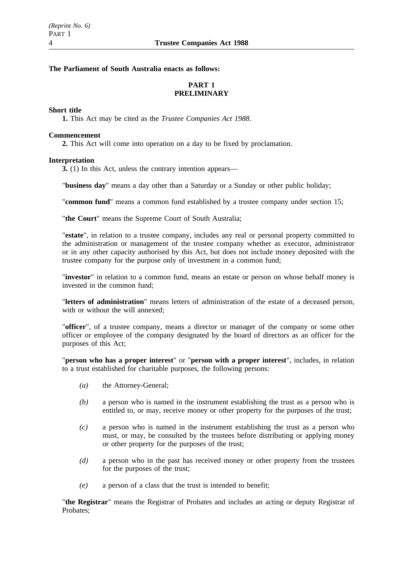# **The Parliament of South Australia enacts as follows:**

# **PART 1 PRELIMINARY**

# **Short title**

**1.** This Act may be cited as the *Trustee Companies Act 1988*.

# **Commencement**

**2.** This Act will come into operation on a day to be fixed by proclamation.

# **Interpretation**

**3.** (1) In this Act, unless the contrary intention appears—

"**business day**" means a day other than a Saturday or a Sunday or other public holiday;

"**common fund**" means a common fund established by a trustee company under section 15;

"**the Court**" means the Supreme Court of South Australia;

"**estate**", in relation to a trustee company, includes any real or personal property committed to the administration or management of the trustee company whether as executor, administrator or in any other capacity authorised by this Act, but does not include money deposited with the trustee company for the purpose only of investment in a common fund;

"**investor**" in relation to a common fund, means an estate or person on whose behalf money is invested in the common fund;

"**letters of administration**" means letters of administration of the estate of a deceased person, with or without the will annexed:

"**officer**", of a trustee company, means a director or manager of the company or some other officer or employee of the company designated by the board of directors as an officer for the purposes of this Act;

"**person who has a proper interest**" or "**person with a proper interest**", includes, in relation to a trust established for charitable purposes, the following persons:

- *(a)* the Attorney-General;
- *(b)* a person who is named in the instrument establishing the trust as a person who is entitled to, or may, receive money or other property for the purposes of the trust;
- *(c)* a person who is named in the instrument establishing the trust as a person who must, or may, be consulted by the trustees before distributing or applying money or other property for the purposes of the trust;
- *(d)* a person who in the past has received money or other property from the trustees for the purposes of the trust;
- *(e)* a person of a class that the trust is intended to benefit;

"**the Registrar**" means the Registrar of Probates and includes an acting or deputy Registrar of Probates;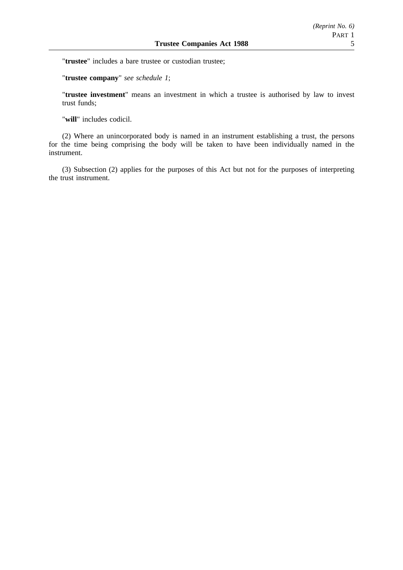"**trustee**" includes a bare trustee or custodian trustee;

"**trustee company**" *see schedule 1*;

"**trustee investment**" means an investment in which a trustee is authorised by law to invest trust funds;

"**will**" includes codicil.

(2) Where an unincorporated body is named in an instrument establishing a trust, the persons for the time being comprising the body will be taken to have been individually named in the instrument.

(3) Subsection (2) applies for the purposes of this Act but not for the purposes of interpreting the trust instrument.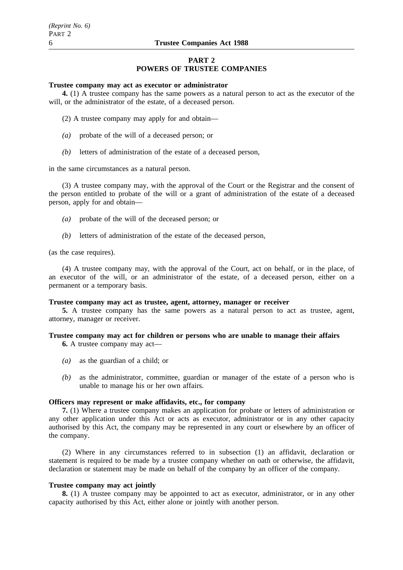# **PART 2 POWERS OF TRUSTEE COMPANIES**

### **Trustee company may act as executor or administrator**

**4.** (1) A trustee company has the same powers as a natural person to act as the executor of the will, or the administrator of the estate, of a deceased person.

- (2) A trustee company may apply for and obtain—
- *(a)* probate of the will of a deceased person; or
- *(b)* letters of administration of the estate of a deceased person,

in the same circumstances as a natural person.

(3) A trustee company may, with the approval of the Court or the Registrar and the consent of the person entitled to probate of the will or a grant of administration of the estate of a deceased person, apply for and obtain—

- *(a)* probate of the will of the deceased person; or
- *(b)* letters of administration of the estate of the deceased person,

(as the case requires).

(4) A trustee company may, with the approval of the Court, act on behalf, or in the place, of an executor of the will, or an administrator of the estate, of a deceased person, either on a permanent or a temporary basis.

# **Trustee company may act as trustee, agent, attorney, manager or receiver**

**5.** A trustee company has the same powers as a natural person to act as trustee, agent, attorney, manager or receiver.

# **Trustee company may act for children or persons who are unable to manage their affairs**

**6.** A trustee company may act—

- *(a)* as the guardian of a child; or
- *(b)* as the administrator, committee, guardian or manager of the estate of a person who is unable to manage his or her own affairs.

# **Officers may represent or make affidavits, etc., for company**

**7.** (1) Where a trustee company makes an application for probate or letters of administration or any other application under this Act or acts as executor, administrator or in any other capacity authorised by this Act, the company may be represented in any court or elsewhere by an officer of the company.

(2) Where in any circumstances referred to in subsection (1) an affidavit, declaration or statement is required to be made by a trustee company whether on oath or otherwise, the affidavit, declaration or statement may be made on behalf of the company by an officer of the company.

# **Trustee company may act jointly**

**8.** (1) A trustee company may be appointed to act as executor, administrator, or in any other capacity authorised by this Act, either alone or jointly with another person.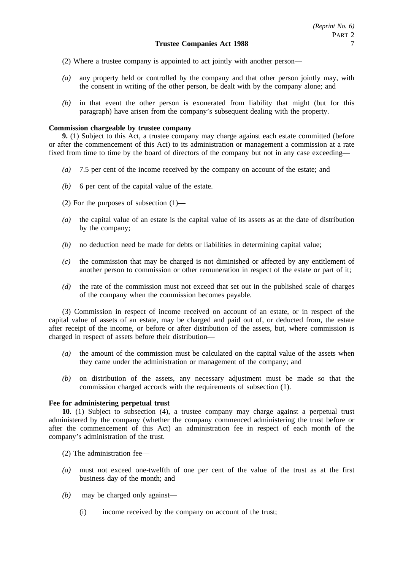- (2) Where a trustee company is appointed to act jointly with another person—
- *(a)* any property held or controlled by the company and that other person jointly may, with the consent in writing of the other person, be dealt with by the company alone; and
- *(b)* in that event the other person is exonerated from liability that might (but for this paragraph) have arisen from the company's subsequent dealing with the property.

# **Commission chargeable by trustee company**

**9.** (1) Subject to this Act, a trustee company may charge against each estate committed (before or after the commencement of this Act) to its administration or management a commission at a rate fixed from time to time by the board of directors of the company but not in any case exceeding—

- *(a)* 7.5 per cent of the income received by the company on account of the estate; and
- *(b)* 6 per cent of the capital value of the estate.
- (2) For the purposes of subsection (1)—
- *(a)* the capital value of an estate is the capital value of its assets as at the date of distribution by the company;
- *(b)* no deduction need be made for debts or liabilities in determining capital value;
- *(c)* the commission that may be charged is not diminished or affected by any entitlement of another person to commission or other remuneration in respect of the estate or part of it;
- *(d)* the rate of the commission must not exceed that set out in the published scale of charges of the company when the commission becomes payable.

(3) Commission in respect of income received on account of an estate, or in respect of the capital value of assets of an estate, may be charged and paid out of, or deducted from, the estate after receipt of the income, or before or after distribution of the assets, but, where commission is charged in respect of assets before their distribution—

- *(a)* the amount of the commission must be calculated on the capital value of the assets when they came under the administration or management of the company; and
- *(b)* on distribution of the assets, any necessary adjustment must be made so that the commission charged accords with the requirements of subsection (1).

# **Fee for administering perpetual trust**

**10.** (1) Subject to subsection (4), a trustee company may charge against a perpetual trust administered by the company (whether the company commenced administering the trust before or after the commencement of this Act) an administration fee in respect of each month of the company's administration of the trust.

(2) The administration fee—

- *(a)* must not exceed one-twelfth of one per cent of the value of the trust as at the first business day of the month; and
- *(b)* may be charged only against—
	- (i) income received by the company on account of the trust;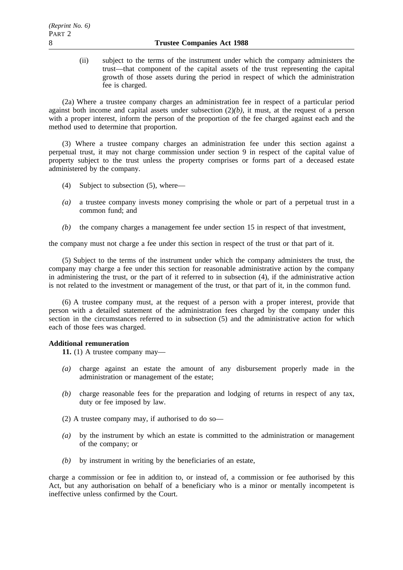(ii) subject to the terms of the instrument under which the company administers the trust—that component of the capital assets of the trust representing the capital growth of those assets during the period in respect of which the administration fee is charged.

(2a) Where a trustee company charges an administration fee in respect of a particular period against both income and capital assets under subsection (2)*(b)*, it must, at the request of a person with a proper interest, inform the person of the proportion of the fee charged against each and the method used to determine that proportion.

(3) Where a trustee company charges an administration fee under this section against a perpetual trust, it may not charge commission under section 9 in respect of the capital value of property subject to the trust unless the property comprises or forms part of a deceased estate administered by the company.

- (4) Subject to subsection (5), where—
- *(a)* a trustee company invests money comprising the whole or part of a perpetual trust in a common fund; and
- *(b)* the company charges a management fee under section 15 in respect of that investment,

the company must not charge a fee under this section in respect of the trust or that part of it.

(5) Subject to the terms of the instrument under which the company administers the trust, the company may charge a fee under this section for reasonable administrative action by the company in administering the trust, or the part of it referred to in subsection (4), if the administrative action is not related to the investment or management of the trust, or that part of it, in the common fund.

(6) A trustee company must, at the request of a person with a proper interest, provide that person with a detailed statement of the administration fees charged by the company under this section in the circumstances referred to in subsection (5) and the administrative action for which each of those fees was charged.

# **Additional remuneration**

**11.** (1) A trustee company may—

- *(a)* charge against an estate the amount of any disbursement properly made in the administration or management of the estate;
- *(b)* charge reasonable fees for the preparation and lodging of returns in respect of any tax, duty or fee imposed by law.
- (2) A trustee company may, if authorised to do so—
- *(a)* by the instrument by which an estate is committed to the administration or management of the company; or
- *(b)* by instrument in writing by the beneficiaries of an estate,

charge a commission or fee in addition to, or instead of, a commission or fee authorised by this Act, but any authorisation on behalf of a beneficiary who is a minor or mentally incompetent is ineffective unless confirmed by the Court.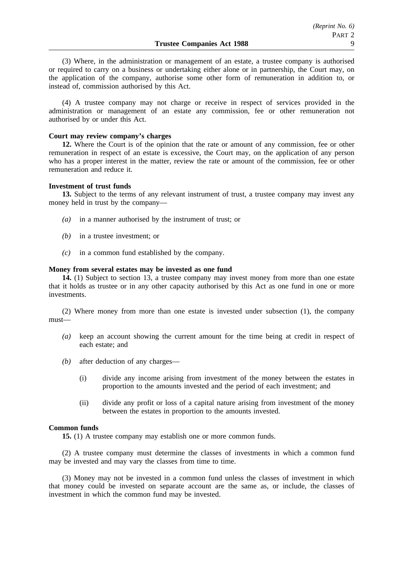(3) Where, in the administration or management of an estate, a trustee company is authorised or required to carry on a business or undertaking either alone or in partnership, the Court may, on the application of the company, authorise some other form of remuneration in addition to, or instead of, commission authorised by this Act.

(4) A trustee company may not charge or receive in respect of services provided in the administration or management of an estate any commission, fee or other remuneration not authorised by or under this Act.

### **Court may review company's charges**

**12.** Where the Court is of the opinion that the rate or amount of any commission, fee or other remuneration in respect of an estate is excessive, the Court may, on the application of any person who has a proper interest in the matter, review the rate or amount of the commission, fee or other remuneration and reduce it.

### **Investment of trust funds**

**13.** Subject to the terms of any relevant instrument of trust, a trustee company may invest any money held in trust by the company—

- *(a)* in a manner authorised by the instrument of trust; or
- *(b)* in a trustee investment; or
- *(c)* in a common fund established by the company.

#### **Money from several estates may be invested as one fund**

**14.** (1) Subject to section 13, a trustee company may invest money from more than one estate that it holds as trustee or in any other capacity authorised by this Act as one fund in one or more investments.

(2) Where money from more than one estate is invested under subsection (1), the company must—

- *(a)* keep an account showing the current amount for the time being at credit in respect of each estate; and
- *(b)* after deduction of any charges—
	- (i) divide any income arising from investment of the money between the estates in proportion to the amounts invested and the period of each investment; and
	- (ii) divide any profit or loss of a capital nature arising from investment of the money between the estates in proportion to the amounts invested.

#### **Common funds**

**15.** (1) A trustee company may establish one or more common funds.

(2) A trustee company must determine the classes of investments in which a common fund may be invested and may vary the classes from time to time.

(3) Money may not be invested in a common fund unless the classes of investment in which that money could be invested on separate account are the same as, or include, the classes of investment in which the common fund may be invested.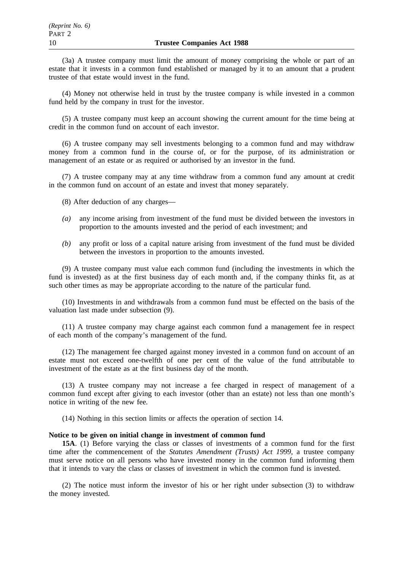(3a) A trustee company must limit the amount of money comprising the whole or part of an estate that it invests in a common fund established or managed by it to an amount that a prudent trustee of that estate would invest in the fund.

(4) Money not otherwise held in trust by the trustee company is while invested in a common fund held by the company in trust for the investor.

(5) A trustee company must keep an account showing the current amount for the time being at credit in the common fund on account of each investor.

(6) A trustee company may sell investments belonging to a common fund and may withdraw money from a common fund in the course of, or for the purpose, of its administration or management of an estate or as required or authorised by an investor in the fund.

(7) A trustee company may at any time withdraw from a common fund any amount at credit in the common fund on account of an estate and invest that money separately.

(8) After deduction of any charges—

- *(a)* any income arising from investment of the fund must be divided between the investors in proportion to the amounts invested and the period of each investment; and
- *(b)* any profit or loss of a capital nature arising from investment of the fund must be divided between the investors in proportion to the amounts invested.

(9) A trustee company must value each common fund (including the investments in which the fund is invested) as at the first business day of each month and, if the company thinks fit, as at such other times as may be appropriate according to the nature of the particular fund.

(10) Investments in and withdrawals from a common fund must be effected on the basis of the valuation last made under subsection (9).

(11) A trustee company may charge against each common fund a management fee in respect of each month of the company's management of the fund.

(12) The management fee charged against money invested in a common fund on account of an estate must not exceed one-twelfth of one per cent of the value of the fund attributable to investment of the estate as at the first business day of the month.

(13) A trustee company may not increase a fee charged in respect of management of a common fund except after giving to each investor (other than an estate) not less than one month's notice in writing of the new fee.

(14) Nothing in this section limits or affects the operation of section 14.

# **Notice to be given on initial change in investment of common fund**

**15A**. (1) Before varying the class or classes of investments of a common fund for the first time after the commencement of the *Statutes Amendment (Trusts) Act 1999*, a trustee company must serve notice on all persons who have invested money in the common fund informing them that it intends to vary the class or classes of investment in which the common fund is invested.

(2) The notice must inform the investor of his or her right under subsection (3) to withdraw the money invested.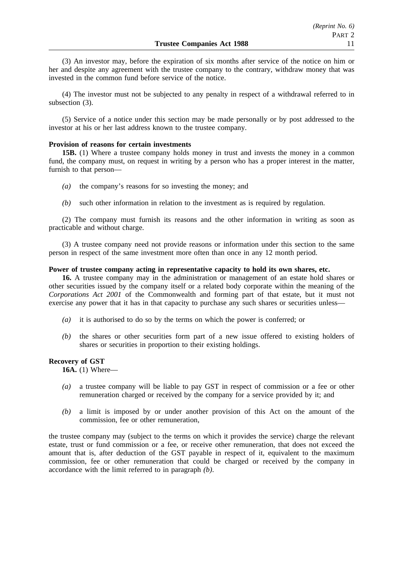(3) An investor may, before the expiration of six months after service of the notice on him or her and despite any agreement with the trustee company to the contrary, withdraw money that was invested in the common fund before service of the notice.

(4) The investor must not be subjected to any penalty in respect of a withdrawal referred to in subsection (3).

(5) Service of a notice under this section may be made personally or by post addressed to the investor at his or her last address known to the trustee company.

# **Provision of reasons for certain investments**

**15B.** (1) Where a trustee company holds money in trust and invests the money in a common fund, the company must, on request in writing by a person who has a proper interest in the matter, furnish to that person—

- *(a)* the company's reasons for so investing the money; and
- *(b)* such other information in relation to the investment as is required by regulation.

(2) The company must furnish its reasons and the other information in writing as soon as practicable and without charge.

(3) A trustee company need not provide reasons or information under this section to the same person in respect of the same investment more often than once in any 12 month period.

# **Power of trustee company acting in representative capacity to hold its own shares, etc.**

**16.** A trustee company may in the administration or management of an estate hold shares or other securities issued by the company itself or a related body corporate within the meaning of the *Corporations Act 2001* of the Commonwealth and forming part of that estate, but it must not exercise any power that it has in that capacity to purchase any such shares or securities unless-

- *(a)* it is authorised to do so by the terms on which the power is conferred; or
- *(b)* the shares or other securities form part of a new issue offered to existing holders of shares or securities in proportion to their existing holdings.

# **Recovery of GST**

**16A.** (1) Where—

- *(a)* a trustee company will be liable to pay GST in respect of commission or a fee or other remuneration charged or received by the company for a service provided by it; and
- *(b)* a limit is imposed by or under another provision of this Act on the amount of the commission, fee or other remuneration,

the trustee company may (subject to the terms on which it provides the service) charge the relevant estate, trust or fund commission or a fee, or receive other remuneration, that does not exceed the amount that is, after deduction of the GST payable in respect of it, equivalent to the maximum commission, fee or other remuneration that could be charged or received by the company in accordance with the limit referred to in paragraph *(b)*.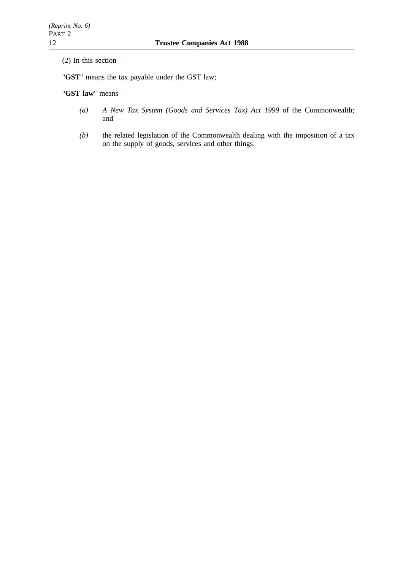(2) In this section—

"**GST**" means the tax payable under the GST law;

"**GST law**" means—

- *(a) A New Tax System (Goods and Services Tax) Act 1999* of the Commonwealth; and
- *(b)* the related legislation of the Commonwealth dealing with the imposition of a tax on the supply of goods, services and other things.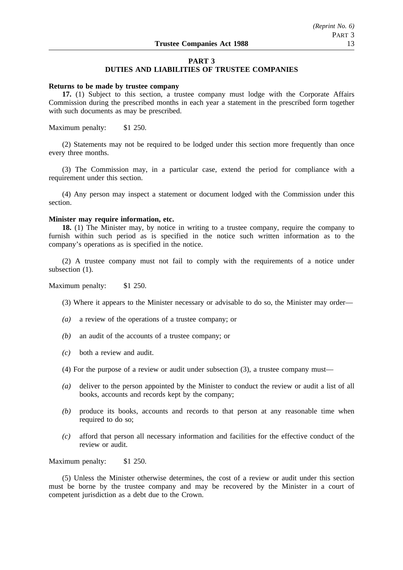## **PART 3**

# **DUTIES AND LIABILITIES OF TRUSTEE COMPANIES**

#### **Returns to be made by trustee company**

**17.** (1) Subject to this section, a trustee company must lodge with the Corporate Affairs Commission during the prescribed months in each year a statement in the prescribed form together with such documents as may be prescribed.

Maximum penalty: \$1 250.

(2) Statements may not be required to be lodged under this section more frequently than once every three months.

(3) The Commission may, in a particular case, extend the period for compliance with a requirement under this section.

(4) Any person may inspect a statement or document lodged with the Commission under this section.

## **Minister may require information, etc.**

**18.** (1) The Minister may, by notice in writing to a trustee company, require the company to furnish within such period as is specified in the notice such written information as to the company's operations as is specified in the notice.

(2) A trustee company must not fail to comply with the requirements of a notice under subsection (1).

Maximum penalty: \$1 250.

- (3) Where it appears to the Minister necessary or advisable to do so, the Minister may order—
- *(a)* a review of the operations of a trustee company; or
- *(b)* an audit of the accounts of a trustee company; or
- *(c)* both a review and audit.
- (4) For the purpose of a review or audit under subsection (3), a trustee company must—
- *(a)* deliver to the person appointed by the Minister to conduct the review or audit a list of all books, accounts and records kept by the company;
- *(b)* produce its books, accounts and records to that person at any reasonable time when required to do so:
- *(c)* afford that person all necessary information and facilities for the effective conduct of the review or audit.

Maximum penalty: \$1 250.

(5) Unless the Minister otherwise determines, the cost of a review or audit under this section must be borne by the trustee company and may be recovered by the Minister in a court of competent jurisdiction as a debt due to the Crown.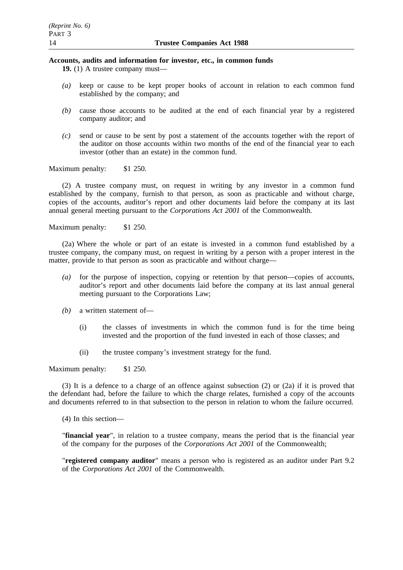# **Accounts, audits and information for investor, etc., in common funds**

**19.** (1) A trustee company must—

- *(a)* keep or cause to be kept proper books of account in relation to each common fund established by the company; and
- *(b)* cause those accounts to be audited at the end of each financial year by a registered company auditor; and
- *(c)* send or cause to be sent by post a statement of the accounts together with the report of the auditor on those accounts within two months of the end of the financial year to each investor (other than an estate) in the common fund.

Maximum penalty: \$1 250.

(2) A trustee company must, on request in writing by any investor in a common fund established by the company, furnish to that person, as soon as practicable and without charge, copies of the accounts, auditor's report and other documents laid before the company at its last annual general meeting pursuant to the *Corporations Act 2001* of the Commonwealth.

Maximum penalty: \$1 250.

(2a) Where the whole or part of an estate is invested in a common fund established by a trustee company, the company must, on request in writing by a person with a proper interest in the matter, provide to that person as soon as practicable and without charge—

- *(a)* for the purpose of inspection, copying or retention by that person—copies of accounts, auditor's report and other documents laid before the company at its last annual general meeting pursuant to the Corporations Law;
- *(b)* a written statement of—
	- (i) the classes of investments in which the common fund is for the time being invested and the proportion of the fund invested in each of those classes; and
	- (ii) the trustee company's investment strategy for the fund.

Maximum penalty: \$1 250.

(3) It is a defence to a charge of an offence against subsection (2) or (2a) if it is proved that the defendant had, before the failure to which the charge relates, furnished a copy of the accounts and documents referred to in that subsection to the person in relation to whom the failure occurred.

(4) In this section—

"**financial year**", in relation to a trustee company, means the period that is the financial year of the company for the purposes of the *Corporations Act 2001* of the Commonwealth;

"**registered company auditor**" means a person who is registered as an auditor under Part 9.2 of the *Corporations Act 2001* of the Commonwealth.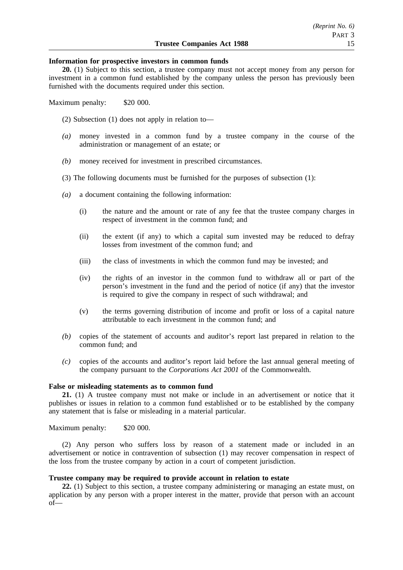#### **Information for prospective investors in common funds**

**20.** (1) Subject to this section, a trustee company must not accept money from any person for investment in a common fund established by the company unless the person has previously been furnished with the documents required under this section.

Maximum penalty: \$20 000.

(2) Subsection (1) does not apply in relation to—

- *(a)* money invested in a common fund by a trustee company in the course of the administration or management of an estate; or
- *(b)* money received for investment in prescribed circumstances.
- (3) The following documents must be furnished for the purposes of subsection (1):
- *(a)* a document containing the following information:
	- (i) the nature and the amount or rate of any fee that the trustee company charges in respect of investment in the common fund; and
	- (ii) the extent (if any) to which a capital sum invested may be reduced to defray losses from investment of the common fund; and
	- (iii) the class of investments in which the common fund may be invested; and
	- (iv) the rights of an investor in the common fund to withdraw all or part of the person's investment in the fund and the period of notice (if any) that the investor is required to give the company in respect of such withdrawal; and
	- (v) the terms governing distribution of income and profit or loss of a capital nature attributable to each investment in the common fund; and
- *(b)* copies of the statement of accounts and auditor's report last prepared in relation to the common fund; and
- *(c)* copies of the accounts and auditor's report laid before the last annual general meeting of the company pursuant to the *Corporations Act 2001* of the Commonwealth.

### **False or misleading statements as to common fund**

**21.** (1) A trustee company must not make or include in an advertisement or notice that it publishes or issues in relation to a common fund established or to be established by the company any statement that is false or misleading in a material particular.

Maximum penalty: \$20 000.

(2) Any person who suffers loss by reason of a statement made or included in an advertisement or notice in contravention of subsection (1) may recover compensation in respect of the loss from the trustee company by action in a court of competent jurisdiction.

# **Trustee company may be required to provide account in relation to estate**

**22.** (1) Subject to this section, a trustee company administering or managing an estate must, on application by any person with a proper interest in the matter, provide that person with an account of—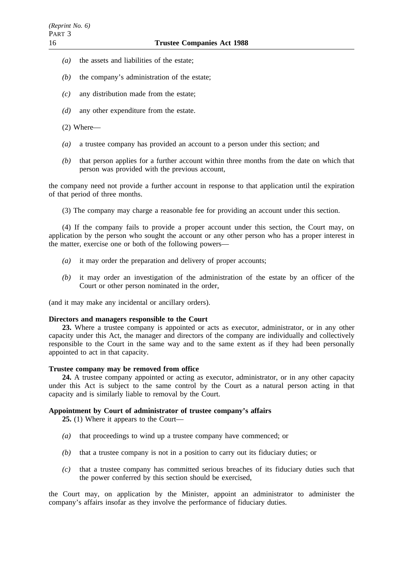- *(a)* the assets and liabilities of the estate;
- *(b)* the company's administration of the estate;
- *(c)* any distribution made from the estate;
- *(d)* any other expenditure from the estate.
- (2) Where—
- *(a)* a trustee company has provided an account to a person under this section; and
- *(b)* that person applies for a further account within three months from the date on which that person was provided with the previous account,

the company need not provide a further account in response to that application until the expiration of that period of three months.

(3) The company may charge a reasonable fee for providing an account under this section.

(4) If the company fails to provide a proper account under this section, the Court may, on application by the person who sought the account or any other person who has a proper interest in the matter, exercise one or both of the following powers—

- *(a)* it may order the preparation and delivery of proper accounts;
- *(b)* it may order an investigation of the administration of the estate by an officer of the Court or other person nominated in the order,

(and it may make any incidental or ancillary orders).

#### **Directors and managers responsible to the Court**

**23.** Where a trustee company is appointed or acts as executor, administrator, or in any other capacity under this Act, the manager and directors of the company are individually and collectively responsible to the Court in the same way and to the same extent as if they had been personally appointed to act in that capacity.

# **Trustee company may be removed from office**

**24.** A trustee company appointed or acting as executor, administrator, or in any other capacity under this Act is subject to the same control by the Court as a natural person acting in that capacity and is similarly liable to removal by the Court.

# **Appointment by Court of administrator of trustee company's affairs**

**25.** (1) Where it appears to the Court—

- *(a)* that proceedings to wind up a trustee company have commenced; or
- *(b)* that a trustee company is not in a position to carry out its fiduciary duties; or
- *(c)* that a trustee company has committed serious breaches of its fiduciary duties such that the power conferred by this section should be exercised,

the Court may, on application by the Minister, appoint an administrator to administer the company's affairs insofar as they involve the performance of fiduciary duties.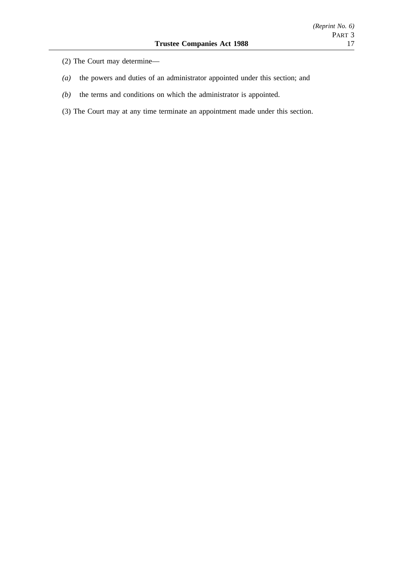- (2) The Court may determine—
- *(a)* the powers and duties of an administrator appointed under this section; and
- *(b)* the terms and conditions on which the administrator is appointed.
- (3) The Court may at any time terminate an appointment made under this section.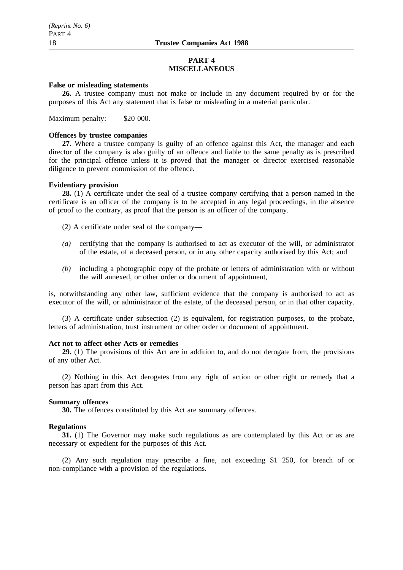## **PART 4 MISCELLANEOUS**

## **False or misleading statements**

**26.** A trustee company must not make or include in any document required by or for the purposes of this Act any statement that is false or misleading in a material particular.

Maximum penalty: \$20 000.

### **Offences by trustee companies**

**27.** Where a trustee company is guilty of an offence against this Act, the manager and each director of the company is also guilty of an offence and liable to the same penalty as is prescribed for the principal offence unless it is proved that the manager or director exercised reasonable diligence to prevent commission of the offence.

### **Evidentiary provision**

**28.** (1) A certificate under the seal of a trustee company certifying that a person named in the certificate is an officer of the company is to be accepted in any legal proceedings, in the absence of proof to the contrary, as proof that the person is an officer of the company.

(2) A certificate under seal of the company—

- *(a)* certifying that the company is authorised to act as executor of the will, or administrator of the estate, of a deceased person, or in any other capacity authorised by this Act; and
- *(b)* including a photographic copy of the probate or letters of administration with or without the will annexed, or other order or document of appointment,

is, notwithstanding any other law, sufficient evidence that the company is authorised to act as executor of the will, or administrator of the estate, of the deceased person, or in that other capacity.

(3) A certificate under subsection (2) is equivalent, for registration purposes, to the probate, letters of administration, trust instrument or other order or document of appointment.

#### **Act not to affect other Acts or remedies**

**29.** (1) The provisions of this Act are in addition to, and do not derogate from, the provisions of any other Act.

(2) Nothing in this Act derogates from any right of action or other right or remedy that a person has apart from this Act.

#### **Summary offences**

**30.** The offences constituted by this Act are summary offences.

# **Regulations**

**31.** (1) The Governor may make such regulations as are contemplated by this Act or as are necessary or expedient for the purposes of this Act.

(2) Any such regulation may prescribe a fine, not exceeding \$1 250, for breach of or non-compliance with a provision of the regulations.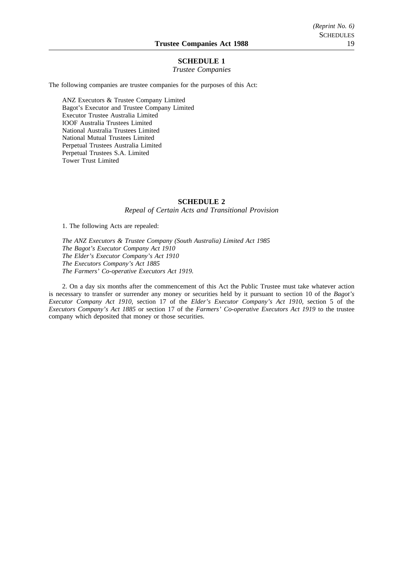## **SCHEDULE 1**

#### *Trustee Companies*

The following companies are trustee companies for the purposes of this Act:

ANZ Executors & Trustee Company Limited Bagot's Executor and Trustee Company Limited Executor Trustee Australia Limited IOOF Australia Trustees Limited National Australia Trustees Limited National Mutual Trustees Limited Perpetual Trustees Australia Limited Perpetual Trustees S.A. Limited Tower Trust Limited

#### **SCHEDULE 2**

*Repeal of Certain Acts and Transitional Provision*

1. The following Acts are repealed:

*The ANZ Executors & Trustee Company (South Australia) Limited Act 1985 The Bagot's Executor Company Act 1910 The Elder's Executor Company's Act 1910 The Executors Company's Act 1885 The Farmers' Co-operative Executors Act 1919.*

2. On a day six months after the commencement of this Act the Public Trustee must take whatever action is necessary to transfer or surrender any money or securities held by it pursuant to section 10 of the *Bagot's Executor Company Act 1910*, section 17 of the *Elder's Executor Company's Act 1910*, section 5 of the *Executors Company's Act 1885* or section 17 of the *Farmers' Co-operative Executors Act 1919* to the trustee company which deposited that money or those securities.